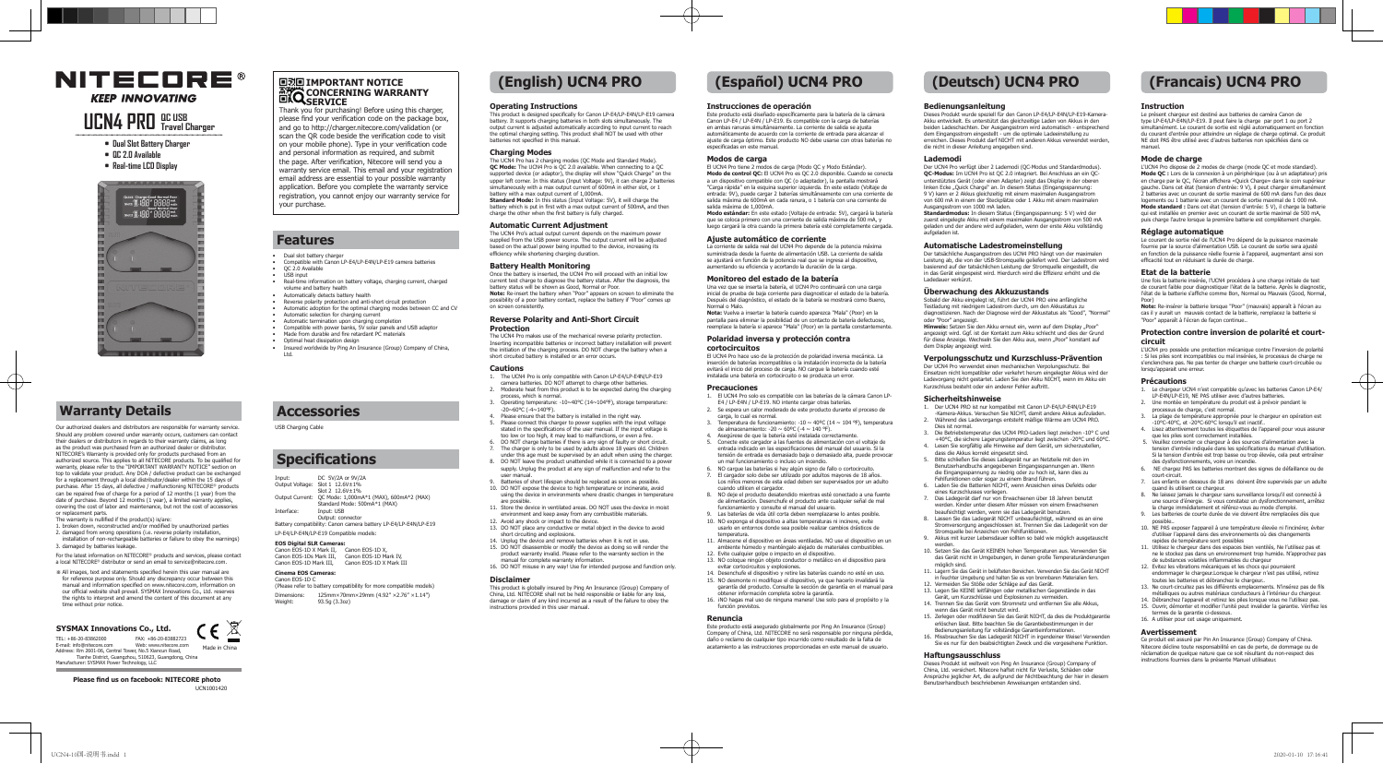- **• Dual Slot Battery Charger**
- **• QC 2.0 Available**
- **• Real-time LCD Display**



# **NITECORE® KEEP INNOVATING**

# **UCN4 PRO QC USB Travel Charger**

# **Warranty Details**

Our authorized dealers and distributors are responsible for warranty service. Should any problem covered under warranty occurs, customers can contact their dealers or distributors in regards to their warranty claims, as long as the product was purchased from an authorized dealer or distributor. NITECORE's Warranty is provided only for products purchased from an authorized source. This applies to all NITECORE products. To be qualified for warranty, please refer to the "IMPORTANT WARRANTY NOTICE" section on top to validate your product. Any DOA / defective product can be exchanged for a replacement through a local distributor/dealer within the 15 days of purchase. After 15 days, all defective / malfunctioning NITECORE® products can be repaired free of charge for a period of 12 months (1 year) from the date of purchase. Beyond 12 months (1 year), a limited warranty applies, covering the cost of labor and maintenance, but not the cost of accessories

or replacement parts. The warranty is nullified if the product(s) is/are:

## **回説回 IMPORTANT NOTICE CONCERNING WARRANTY SERVICE**

- 1. broken down, reconstructed and/or modified by unauthorized parties 2. damaged from wrong operations (i.e. reverse polarity installation, installation of non-rechargeable batteries or failure to obey the warnings)
- 3. damaged by batteries leakage.

For the latest information on NITECORE® products and services, please contact a local NITECORE® distributor or send an email to service@nitecore.com.

※ All images, text and statements specified herein this user manual are for reference purpose only. Should any discrepancy occur between this for reference purpose only. Should any discrepancy occur between this manual and information specified on www.nitecore.com, information on our official website shall prevail. SYSMAX Innovations Co., Ltd. reserves the rights to interpret and amend the content of this document at any time without prior notice.

TEL: +86-20-83862000 FAX: +86-20-83882723

E-mail: info@nitecore.com Web: www.nitecore.com Address: Rm 2601-06, Central Tower, No.5 Xiancun Road, Tianhe District, Guangzhou, 510623, Guangdong, China Manufacturer: SYSMAX Power Technology, LLC

**EOS Digital SLR Cameras:**<br>Canon EOS-1D X Mark II, Canon EOS-1D X,<br>Canon EOS-1Ds Mark III, Canon EOS-1D Mark IV, Canon EOS-1D Mark III, Canon EOS-1D X Mark III

(Please refer to battery compatibility for more compatible models) Dimensions:  $125 \text{mm} \times 70 \text{mm} \times 29 \text{mm}$  (4.92"  $\times 2.76$ "  $\times 1.14$ ")<br>Weight:  $93.59(3.302)$ 93.5g (3.3oz)

## **SYSMAX Innovations Co., Ltd.**

**Please find us on facebook: NITECORE photo** UCN1001420



 $\mathbb{X}$ **Color** 

Thank you for purchasing! Before using this charger, please find your verification code on the package box, and go to http://charger.nitecore.com/validation (or scan the QR code beside the verification code to visit on your mobile phone). Type in your verification code and personal information as required, and submit the page. After verification, Nitecore will send you a warranty service email. This email and your registration email address are essential to your possible warranty application. Before you complete the warranty service registration, you cannot enjoy our warranty service for your purchase.

# **Features**

# **Accessories**

# **Specifications**

DC 5V/2A or 9V/2A

The UCN4 Pro makes use of the mechanical reverse polarity protection. Inserting incompatible batteries or incorrect battery installation will prevent the initiation of the charging process. DO NOT charge the battery when a short circuited battery is installed or an error occurs.

- Dual slot battery charger
- Compatible with Canon LP-E4/LP-E4N/LP-E19 camera batteries
- QC 2.0 Available
- USB input
- Real-time information on battery voltage, charging current, charged volume and battery health
- Automatically detects battery health
- Reverse polarity protection and anti-short circuit protection Automatic adoption for the optimal charging modes between CC and CV
- Automatic selection for charging current
- Automatic termination upon charging completion
- Compatible with power banks, 5V solar panels and USB adaptor
- Made from durable and fire retardant PC materials
- Optimal heat dissipation design • Insured worldwide by Ping An Insurance (Group) Company of China,

Ltd.

USB Charging Cable

- Output Voltage: Slot 1 12.6V±1% Slot 2 12.6V±1% Output Current: QC Mode: 1,000mA\*1 (MAX), 600mA\*2 (MAX)
- Standard Mode: 500mA\*1 (MAX)
- Interface: Input: USB Output: connecto
- Battery compatibility: Canon camera battery LP-E4/LP-E4N/LP-E19 LP-E4/LP-E4N/LP-E19 Compatible models:

## **Cinema EOS Cameras:**

#### Canon EOS-1D C

# **(English) UCN4 PRO (Español) UCN4 PRO (Deutsch) UCN4 PRO (Francais) UCN4 PRO**

### **Operating Instructions**

This product is designed specifically for Canon LP-E4/LP-E4N/LP-E19 camera battery. It supports charging batteries in both slots simultaneously. The output current is adjusted automatically according to input current to reach the optimal charging setting. This product shall NOT be used with other batteries not specified in this manual.

## **Charging Modes**

The UCN4 Pro has 2 charging modes (QC Mode and Standard Mode). **QC Mode:** The UCN4 Pro is QC 2.0 available. When connecting to a QC supported device (or adaptor), the display will show "Quick Charge" on the upper left corner. In this status (Input Voltage: 9V), it can charge 2 batteries simultaneously with a max output current of 600mA in either slot, or 1 battery with a max output current of 1,000mA. **Standard Mode:** In this status (Input Voltage: 5V), it will charge the battery which is put in first with a max output current of 500mA, and then charge the other when the first battery is fully charged.

#### **Automatic Current Adjustment**

The UCN4 Pro's actual output current depends on the maximum power supplied from the USB power source. The output current will be adjusted based on the actual power being inputted to the device, increasing its efficiency while shortening charging duration.

### **Battery Health Monitoring**

Once the battery is inserted, the UCN4 Pro will proceed with an initial low current test charge to diagnose the battery status. After the diagnosis, the battery status will be shown as Good, Normal or Poor. **Note:** Re-insert the battery when "Poor" appears on screen to eliminate the possibility of a poor battery contact, replace the battery if "Poor" comes up on screen consistently.

#### **Reverse Polarity and Anti-Short Circuit Protection**

#### **Cautions**

- 1. The UCN4 Pro is only compatible with Canon LP-E4/LP-E4N/LP-E19 camera batteries. DO NOT attempt to charge other batteries. 2. Moderate heat from this product is to be expected during the charging
- process, which is normal. 3. Operating temperature: -10~40℃ (14~104℉), storage temperature:
- -20~60℃ (-4~140℉).  $\frac{1}{4}$ . Please ensure that the battery is installed in the right way.
- Frease charger that the battery is instance in the right way.<br>Please connect this charger to power supplies with the input voltage stated in the specifications of the user manual. If the input voltage is too low or too high, it may lead to malfunctions, or even a fire.
- 6. DO NOT charge batteries if there is any sign of faulty or short circuit. The charger is only to be used by adults above 18 years old. Children
- under this age must be supervised by an adult when using the charger. 8. DO NOT leave the product unattended while it is connected to a power
- supply. Unplug the product at any sign of malfunction and refer to the user manual. 9. Batteries of short lifespan should be replaced as soon as possible.
- 10. DO NOT expose the device to high temperature or incinerate, avoid using the device in environments where drastic changes in temperature
- are possible. 11. Store the device in ventilated areas. DO NOT uses the device in moist
- environment and keep away from any combustible materials.
- 12. Avoid any shock or impact to the device. 13. DO NOT place any conductive or metal object in the device to avoid short circuiting and explosions.
- 14. Unplug the device and remove batteries when it is not in use. 15. DO NOT disassemble or modify the device as doing so will render the product warranty invalid. Please refer to the warranty section in the
- manual for complete warranty information. 16. DO NOT misuse in any way! Use for intended purpose and function only.

oder "Poor" angezeigt.<br>**Hinweis:** Setzen Sie den Akku erneut ein, wenn auf dem Display "Poor" angezeigt wird. Ggf. ist der Kontakt zum Akku schlecht und dies der Grund für diese Anzeige. Wechseln Sie den Akku aus, wenn "Poor" konstant auf

Der UCN4 Pro verwendet einen mechanischen Verpolungsschutz. Bei Einsetzen nicht kompatibler oder verkehrt herum eingelegter Akkus wird der Ladevorgang nicht gestartet. Laden Sie den Akku NICHT, wenn im Akku ein Kurzschluss besteht oder ein anderer Fehler auftritt.

#### **Disclaimer**

This product is globally insured by Ping An Insurance (Group) Company of China, Ltd. NITECORE shall not be held responsible or liable for any loss, damage or claim of any kind incurred as a result of the failure to obey the instructions provided in this user manual.

- $\frac{3.33}{2}$ . Temperatura de funcionamiento: -10 ~ 40°C (14 ~ 104 °F), temperatura<br>de almacenamiento: -20 ~ 60°C (-4 ~ 140 °F) de almacenamiento: -20 ~ 60ºC (-4 ~ 140 ℉). 4. Asegúrese de que la batería esté instalada correctamente.
- 5. Conecte este cargador a las fuentes de alimentación con el voltaje de entrada indicado en las especificaciones del manual del usuario. Si la tensión de entrada es demasiado baja o demasiado alta, puede provocar un mal funcionamiento o incluso un incendio.
- 6. NO cargue las baterías si hay algún signo de fallo o cortocircuito. 7. El cargador solo debe ser utilizado por adultos mayores de 18 años. Los niños menores de esta edad deben ser supervisados por un adulto cuando utilicen el cargador.
- 8. NO deje el producto desatendido mientras esté conectado a una fuente de alimentación. Desenchufe el producto ante cualquier señal de mal
- funcionamiento y consulte el manual del usuario. 9. Las baterías de vida útil corta deben reemplazarse lo antes posible. 10. NO exponga el dispositivo a altas temperaturas ni incinere, evite usarlo en entornos donde sea posible realizar cambios drásticos de
- temperatura. 11. Almacene el dispositivo en áreas ventiladas. NO use el dispositivo en un ambiente húmedo y manténgalo alejado de materiales combustibles.
- 12. Evite cualquier golpe o impacto en el dispositivo. 13. NO coloque ningún objeto conductor o metálico en el dispositivo para evitar cortocircuitos y explosiones. 14. Desenchufe el dispositivo y retire las baterías cuando no esté en uso. möglich sind.
	- 12. Vermeiden Sie Stöße oder Schläge auf das Gerät.

werden

**Instrucciones de operación**

Este producto está diseñado específicamente para la batería de la cámara Canon LP-E4 / LP-E4N / LP-E19. Es compatible con la carga de baterías en ambas ranuras simultáneamente. La corriente de salida se ajusta automáticamente de acuerdo con la corriente de entrada para alcanzar el ajuste de carga óptimo. Este producto NO debe usarse con otras baterías no

especificadas en este manual. **Modos de carga**

El UCN4 Pro tiene 2 modos de carga (Modo QC y Modo Estándar). **Modo de control QC:** El UCN4 Pro es QC 2.0 disponible. Cuando se conecta a un dispositivo compatible con QC (o adaptador), la pantalla mostrará "Carga rápida" en la esquina superior izquierda. En este estado (Voltaje de entrada: 9V), puede cargar 2 baterías simultáneamente con una corriente de salida máxima de 600mA en cada ranura, o 1 batería con una corriente de

salida máxima de 1,000mA.

**Modo estándar:** En este estado (Voltaje de entrada: 5V), cargará la batería que se coloca primero con una corriente de salida máxima de 500 mA, y luego cargará la otra cuando la primera batería esté completamente cargada.

**Ajuste automático de corriente**

La corriente de salida real del UCN4 Pro depende de la potencia máxima suministrada desde la fuente de alimentación USB. La corriente de salida se ajustará en función de la potencia real que se ingresa al dispositivo, aumentando su eficiencia y acortando la duración de la carga. **Monitoreo del estado de la batería**

> nasa)<br>Note: Re-insérer la batterie lorsque "Poor" (mauvais) annaraît à l'écran au **Note:** Re-insérer la batterie lorsque "Poor" (mauvais) apparaît à l'écran au cas il y aurait un mauvais contact de la batterie, remplacez la batterie si "Poor" apparaît à l'écran de façon continue..

Una vez que se inserta la batería, el UCN4 Pro continuará con una carga inicial de prueba de baja corriente para diagnosticar el estado de la batería. Después del diagnóstico, el estado de la batería se mostrará como Bueno, Normal o Malo. **Nota:** Vuelva a insertar la batería cuando aparezca "Mala" (Poor) en la pantalla para eliminar la posibilidad de un contacto de batería defectuoso, reemplace la batería si aparece "Mala" (Poor) en la pantalla constantemente.

**Polaridad inversa y protección contra** 

**cortocircuitos**

El UCN4 Pro hace uso de la protección de polaridad inversa mecánica. La

inserción de baterías incompatibles o la instalación incorrecta de la batería evitará el inicio del proceso de carga. NO cargue la batería cuando esté instalada una batería en cortocircuito o se produzca un error.

## **Precauciones**

- 1. El UCN4 Pro solo es compatible con las baterías de la cámara Canon LP-E4 / LP-E4N / LP-E19. NO intente cargar otras baterías. 2. Se espera un calor moderado de este producto durante el proceso de
- carga, lo cual es normal.

**Avertissement**<br>Ce produit est assuré par Pin An Insurance (Group) Company of China Ce produit est assuré par Pin An Insurance (Group) Company of China. Nitecore décline toute responsabilité en cas de perte, de dommage ou de réclamation de quelque nature que ce soit résultant du non-respect des instructions fournies dans la présente Manuel utilisateur.

15. NO desmonte ni modifique el dispositivo, ya que hacerlo invalidará la garantía del producto. Consulte la sección de garantía en el manual para

obtener información completa sobre la garantía.

16. ¡NO hagas mal uso de ninguna manera! Use solo para el propósito y la

función previstos.

### **Renuncia**

Este producto está asegurado globalmente por Ping An Insurance (Group) Company of China, Ltd. NITECORE no será responsable por ninguna pérdida, daño o reclamo de cualquier tipo incurrido como resultado de la falta de acatamiento a las instrucciones proporcionadas en este manual de usuario.

### **Bedienungsanleitung**

Dieses Produkt wurde speziell für den Canon LP-E4/LP-E4N/LP-E19-Kamera-Akku entwickelt. Es unterstützt das gleichzeitige Laden von Akkus in den beiden Ladeschachten. Der Ausgangsstrom wird automatisch - entsprechend dem Eingangsstrom eingestellt - um die optimale Ladeeinstellung zu erreichen. Dieses Produkt darf NICHT mit anderen Akkus verwendet werden,

die nicht in dieser Anleitung angegeben sind.

#### **Lademodi**

Der UCN4 Pro verfügt über 2 Lademodi (QC-Modus und Standardmodus). **QC-Modus:** Im UCN4 Pro ist QC 2.0 integriert. Bei Anschluss an ein QC-unterstütztes Gerät (oder einen Adapter) zeigt das Display in der oberen linken Ecke "Quick Charge" an. In diesem Status (Eingangsspannung:<br>9 V) kann er 2 Akkus gleichzeitig mit einem maximalen Ausgangsstrom von 600 mA in einem der Steckplätze oder 1 Akku mit einem maximalen

Ausgangsstrom von 1000 mA laden. aufgeladen ist.

**Standardmodus:** In diesem Status (Eingangsspannung: 5 V) wird der zuerst eingelegte Akku mit einem maximalen Ausgangsstrom von 500 mA geladen und der andere wird aufgeladen, wenn der erste Akku vollständig

#### **Automatische Ladestromeinstellung**

Der tatsächliche Ausgangsstrom des UCN4 PRO hängt von der maximalen Leistung ab, die von der USB-Stromquelle geliefert wird. Der Ladestrom wird basierend auf der tatsächlichen Leistung der Stromquelle eingestellt, die in das Gerät eingespeist wird. Hierdurch wird die Effizienz erhöht und die Ladedauer verkürzt.

### **Überwachung des Akkuzustands**

Sobald der Akku eingelegt ist, führt der UCN4 PRO eine anfängliche Testladung mit niedrigem Ladestrom durch, um den Akkustatus zu diagnostizieren. Nach der Diagnose wird der Akkustatus als "Good", "Normal"

dem Display angezeigt wird.

### **Verpolungsschutz und Kurzschluss-Prävention**

#### **Sicherheitshinweise**

1. Der UCN4 PRO ist nur kompatibel mit Canon LP-E4/LP-E4N/LP-E19 -Kamera-Akkus. Versuchen Sie NICHT, damit andere Akkus aufzuladen. 2. Während des Ladevorgangs entsteht mäßige Wärme am UCN4 PRO.

Dies ist normal. 3. Die Betriebstemperatur des UCN4 PRO-Laders liegt zwischen -10° C und +40°C, die sichere Lagerungstemperatur liegt zwischen -20°C und 60°C. 4. Lesen Sie sorgfältig alle Hinweise auf dem Gerät, um sicherzustellen, dass die Akkus korrekt eingesetzt sind.

5. Bitte schließen Sie dieses Ladegerät nur an Netzteile mit den im Benutzerhandbuchs angegebenen Eingangsspannungen an. Wenn die Eingangsspannung zu niedrig oder zu hoch ist, kann dies zu

Fehlfunktionen oder sogar zu einem Brand führen. 6. Laden Sie die Batterien NICHT, wenn Anzeichen eines Defekts oder

eines Kurzschlusses vorliegen. 7. Das Ladegerät darf nur von Erwachsenen über 18 Jahren benutzt

werden. Kinder unter diesem Alter müssen von einem Erwachsenen beaufsichtigt werden, wenn sie das Ladegerät benutzen.

8. Lassen Sie das Ladegerät NICHT unbeaufsichtigt, während es an eine Stromversorgung angeschlossen ist. Trennen Sie das Ladegerät von der

Stromquelle bei Anzeichen von Fehlfunktionen. 9. Akkus mit kurzer Lebensdauer sollten so bald wie möglich ausgetauscht

10. Setzen Sie das Gerät KEINEN hohen Temperaturen aus. Verwenden Sie das Gerät nicht in Umgebungen, in denen große Temperaturänderungen

11. Lagern Sie das Gerät in belüfteten Bereichen. Verwenden Sie das Gerät NICHT in feuchter Umgebung und halten Sie es von brennbaren Materialien fern.

13. Legen Sie KEINE leitfähigen oder metallischen Gegenstände in das

Gerät, um Kurzschlüsse und Explosionen zu vermeiden. 14. Trennen Sie das Gerät vom Stromnetz und entfernen Sie alle Akkus, wenn das Gerät nicht benutzt wird.

15. Zerlegen oder modifizieren Sie das Gerät NICHT, da dies die Produktgarantie erlöschen lässt. Bitte beachten Sie die Garantiebestimmungen in der

Bedienungsanleitung für vollständige Garantieinformationen. 16. Missbrauchen Sie das Ladegerät NICHT in irgendeiner Weise! Verwenden Sie es nur für den beabsichtigten Zweck und die vorgesehene Funktion.

#### **Haftungsausschluss**

Dieses Produkt ist weltweit von Ping An Insurance (Group) Company of China, Ltd. versichert. Nitecore haftet nicht für Verluste, Schäden oder Ansprüche jeglicher Art, die aufgrund der Nichtbeachtung der hier in diesem Benutzerhandbuch beschriebenen Anweisungen entstanden sind.

### **Instruction**

Le présent chargeur est destiné aux batteries de caméra Canon de type LP-E4/LP-E4N/LP-E19. Il peut faire la charge par port 1 ou port 2 simultanément. Le courant de sortie est réglé automatiquement en fonction du courant d'entrée pour atteindre un réglage de charge optimal. Ce produit NE doit PAS être utilisé avec d'autres batteries non spécifiées dans ce manuel.

#### **Mode de charge**

L'UCN4 Pro dispose de 2 modes de charge (mode QC et mode standard). **Mode QC :** Lors de la connexion à un périphérique (ou à un adaptateur) pris en charge par le QC, l'écran affichera «Quick Charge» dans le coin supérieur gauche. Dans cet état (tension d'entrée: 9 V), il peut charger simultanément 2 batteries avec un courant de sortie maximal de 600 mA dans l'un des deux logements ou 1 batterie avec un courant de sortie maximal de 1 000 mA. **Mode standard :** Dans cet état (tension d'entrée: 5 V), il charge la batterie qui est installée en premier avec un courant de sortie maximal de 500 mA, puis charge l'autre lorsque la première batterie est complètement chargée.

**Réglage automatique** Le courant de sortie réel de l'UCN4 Pro dépend de la puissance maximale fournie par la source d'alimentation USB. Le courant de sortie sera ajusté en fonction de la puissance réelle fournie à l'appareil, augmentant ainsi son efficacité tout en réduisant la durée de charge.

#### **Etat de la batterie**

Une fois la batterie insérée, l'UCN4 procédera à une charge initiale de test de courant faible pour diagnostiquer l'état de la batterie. Après le diagnostic, l'état de la batterie s'affiche comme Bon, Normal ou Mauvais (Good, Normal,

#### **Protection contre inversion de polarité et courtcircuit**

L'UCN4 pro possède une protection mécanique contre l'inversion de polarité : Si les piles sont incompatibles ou mal insérées, le processus de charge ne s'enclenchera pas. Ne pas tenter de charger une batterie court-circuitée ou lorsqu'apparait une erreur.

#### **Précautions**

- 1. Le chargeur UCN4 n'est compatible qu'avec les batteries Canon LP-E4/ LP-E4N/LP-E19, NE PAS utiliser avec d'autres batteries.
- 2. Une montée en température du produit est à prévoir pendant le processus de charge, c'est normal.
- 3. La plage de température appropriée pour le chargeur en opération est -10°C-40°C, et -20°C-60°C lorsqu'il est inactif..
- 4. Lisez attentivement toutes les étiquettes de l'appareil pour vous assurer que les piles sont correctement installées.
- 5. Veuillez connecter ce chargeur à des sources d'alimentation avec la tension d'entrée indiquée dans les spécifications du manuel d'utilisation. Si la tension d'entrée est trop basse ou trop élevée, cela peut entraîner des dysfonctionnements, voire un incendie.
- 6. NE chargez PAS les batteries montrant des signes de défaillance ou de court-circuit.
- 7. Les enfants en dessous de 18 ans doivent être supervisés par un adulte quand ils utilisent ce chargeur.
- 8. Ne laissez jamais le chargeur sans surveillance lorsqu'il est connecté à une source d'énergie. Si vous constatez un dysfonctionnement, arrêtez la charge immédiatement et référez-vous au mode d'emploi.
- 9. Les batteries de courte durée de vie doivent être remplacées dès que<br>noscible
- possible.. 10. NE PAS exposer l'appareil à une température élevée ni l'incinérer, éviter d'utiliser l'appareil dans des environnements où des changements rapides de température sont possibles
- 11. Utilisez le chargeur dans des espaces bien ventilés, Ne l'utilisez pas et ne le stockez pas dans un environnement trop humide. N'approchez pas de substances volatiles inflammables du chargeur
- 12. Evitez les vibrations mécaniques et les chocs qui pourraient endommager le chargeur.Lorsque le chargeur n'est pas utilisé, retirez toutes les batteries et débranchez le chargeur..
- 13. Ne court-circuitez pas les différents emplacements. N'insérez pas de fils métalliques ou autres matériaux conducteurs à l'intérieur du chargeur.
- 14. Débranchez l'appareil et retirez les piles lorsque vous ne l'utilisez pas. 15. Ouvrir, démonter et modifier l'unité peut invalider la garantie. Vérifiez les
- termes de la garantie ci-dessous. 16. A utiliser pour cet usage uniquement.